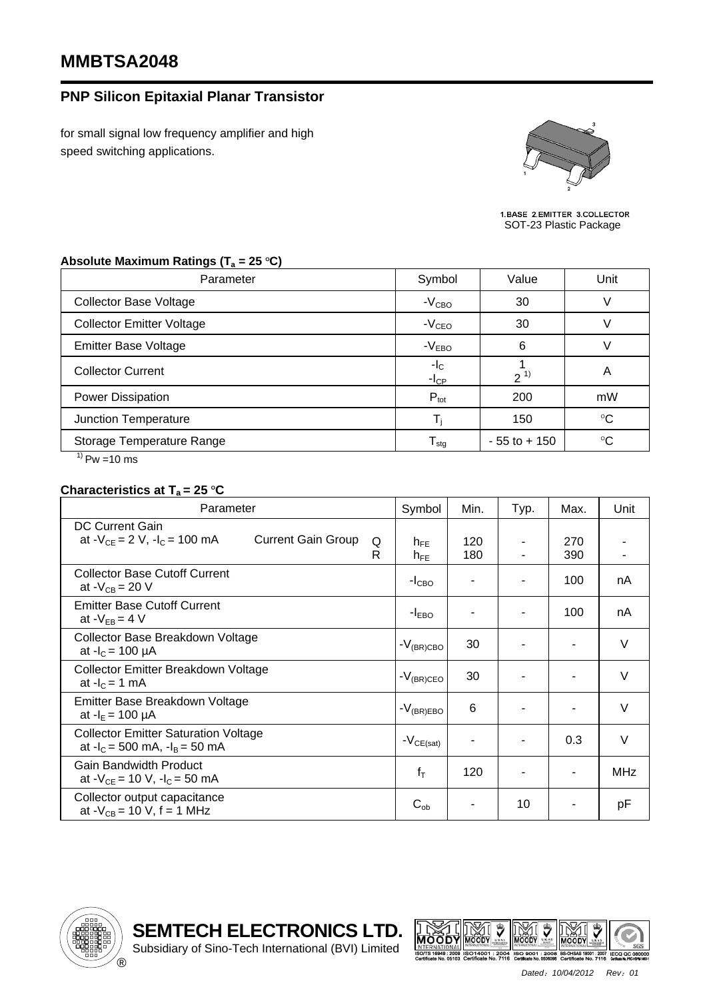## **MMBTSA2048**

## **PNP Silicon Epitaxial Planar Transistor**

for small signal low frequency amplifier and high speed switching applications.



1. BASE 2. EMITTER 3. COLLECTOR<br>SOT-23 Plastic Package

## Absolute Maximum Ratings (T<sub>a</sub> = 25 °C)

| Parameter                                   | Symbol<br>Value            |                 | Unit        |  |
|---------------------------------------------|----------------------------|-----------------|-------------|--|
| <b>Collector Base Voltage</b>               | $-VCBO$                    | 30              |             |  |
| <b>Collector Emitter Voltage</b>            | $-VCEO$                    | 30              |             |  |
| <b>Emitter Base Voltage</b>                 | $-VEBO$                    | 6               |             |  |
| <b>Collector Current</b>                    | $-I_{C}$<br>$-ICP$         | $2^{1}$         | A           |  |
| Power Dissipation                           | $P_{\text{tot}}$           | 200             | mW          |  |
| Junction Temperature                        |                            | 150             | $^{\circ}C$ |  |
| Storage Temperature Range<br>4 <sup>1</sup> | ${\mathsf T}_{\text{stg}}$ | $-55$ to $+150$ | $^{\circ}C$ |  |

 $^{1)}$  Pw =10 ms

## **Characteristics at T<sub>a</sub> = 25 °C**

| Parameter                                                                                      | Symbol               | Min.       | Typ. | Max.       | Unit       |
|------------------------------------------------------------------------------------------------|----------------------|------------|------|------------|------------|
| DC Current Gain<br>at $-V_{CE} = 2 V$ , $-I_C = 100$ mA<br><b>Current Gain Group</b><br>Q<br>R | $h_{FE}$<br>$h_{FE}$ | 120<br>180 |      | 270<br>390 |            |
| <b>Collector Base Cutoff Current</b><br>at $-V_{CB} = 20 V$                                    | $-ICBO$              |            |      | 100        | nA         |
| <b>Emitter Base Cutoff Current</b><br>at $-V_{EB} = 4 V$                                       | $-IEBO$              |            |      | 100        | nA         |
| Collector Base Breakdown Voltage<br>at $-I_c = 100 \mu A$                                      | $-V_{(BR)CBO}$       | 30         |      |            | $\vee$     |
| Collector Emitter Breakdown Voltage<br>at $-IC = 1$ mA                                         | $-V_{(BR)CEO}$       | 30         |      |            | V          |
| Emitter Base Breakdown Voltage<br>at $-I_E = 100 \mu A$                                        | $-V_{(BR)EBO}$       | 6          |      |            | $\vee$     |
| <b>Collector Emitter Saturation Voltage</b><br>at $-I_c = 500$ mA, $-I_B = 50$ mA              | $-V_{CE(sat)}$       |            |      | 0.3        | $\vee$     |
| <b>Gain Bandwidth Product</b><br>at $-V_{CE} = 10 V$ , $-I_C = 50 mA$                          | $f_T$                | 120        |      |            | <b>MHz</b> |
| Collector output capacitance<br>at $-V_{CB} = 10 V$ , f = 1 MHz                                | $C_{ob}$             |            | 10   |            | рF         |